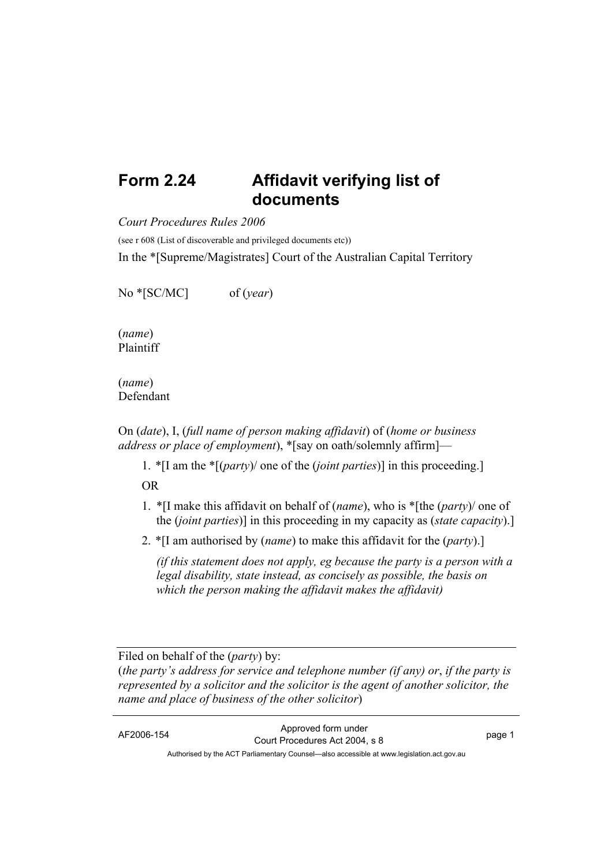## **Form 2.24 Affidavit verifying list of documents**

*Court Procedures Rules 2006*

(see r 608 (List of discoverable and privileged documents etc))

In the \*[Supreme/Magistrates] Court of the Australian Capital Territory

No \*[SC/MC] of (*year*)

(*name*) Plaintiff

(*name*) Defendant

On (*date*), I, (*full name of person making affidavit*) of (*home or business address or place of employment*), \*[say on oath/solemnly affirm]—

1. \*[I am the \*[(*party*)/ one of the (*joint parties*)] in this proceeding.] OR

- 1. \*[I make this affidavit on behalf of (*name*), who is \*[the (*party*)/ one of the (*joint parties*)] in this proceeding in my capacity as (*state capacity*).]
- 2. \*[I am authorised by (*name*) to make this affidavit for the (*party*).]

*(if this statement does not apply, eg because the party is a person with a legal disability, state instead, as concisely as possible, the basis on which the person making the affidavit makes the affidavit)* 

Filed on behalf of the (*party*) by:

(*the party's address for service and telephone number (if any) or*, *if the party is represented by a solicitor and the solicitor is the agent of another solicitor, the name and place of business of the other solicitor*)